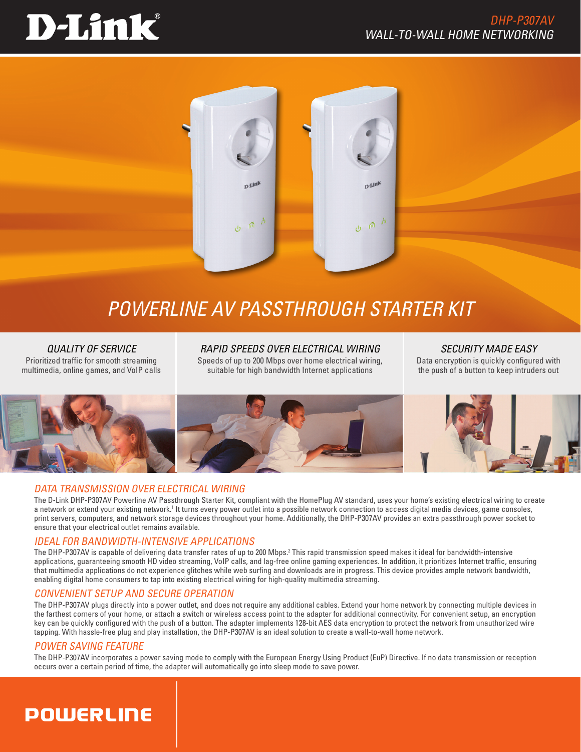# D-Link®



# *POWERLINE AV PASSTHROUGH Starter Kit*

*QUALITY OF SERVICE* Prioritized traffic for smooth streaming multimedia, online games, and VoIP calls

*RAPID Speeds OVER ELECTRICAL Wiring* Speeds of up to 200 Mbps over home electrical wiring, suitable for high bandwidth Internet applications

*SECURITY MADE EASY* Data encryption is quickly configured with the push of a button to keep intruders out



#### DATA TRANSMISSION OVER ELECTRICAL Wiring

The D-Link DHP-P307AV Powerline AV Passthrough Starter Kit, compliant with the HomePlug AV standard, uses your home's existing electrical wiring to create a network or extend your existing network.<sup>1</sup> It turns every power outlet into a possible network connection to access digital media devices, game consoles, print servers, computers, and network storage devices throughout your home. Additionally, the DHP-P307AV provides an extra passthrough power socket to ensure that your electrical outlet remains available.

## IDEAL FOR BANDWIDTH-INTENSIVE APPLICATIONS

The DHP-P307AV is capable of delivering data transfer rates of up to 200 Mbps.<sup>2</sup> This rapid transmission speed makes it ideal for bandwidth-intensive applications, guaranteeing smooth HD video streaming, VoIP calls, and lag-free online gaming experiences. In addition, it prioritizes Internet traffic, ensuring that multimedia applications do not experience glitches while web surfing and downloads are in progress. This device provides ample network bandwidth, enabling digital home consumers to tap into existing electrical wiring for high-quality multimedia streaming.

## CONVENIENT setup AND SECURE OPERATION

The DHP-P307AV plugs directly into a power outlet, and does not require any additional cables. Extend your home network by connecting multiple devices in the farthest corners of your home, or attach a switch or wireless access point to the adapter for additional connectivity. For convenient setup, an encryption key can be quickly configured with the push of a button. The adapter implements 128-bit AES data encryption to protect the network from unauthorized wire tapping. With hassle-free plug and play installation, the DHP-P307AV is an ideal solution to create a wall-to-wall home network.

#### POWER SAVING FEATURE

The DHP-P307AV incorporates a power saving mode to comply with the European Energy Using Product (EuP) Directive. If no data transmission or reception occurs over a certain period of time, the adapter will automatically go into sleep mode to save power.

# **POWERLINE**